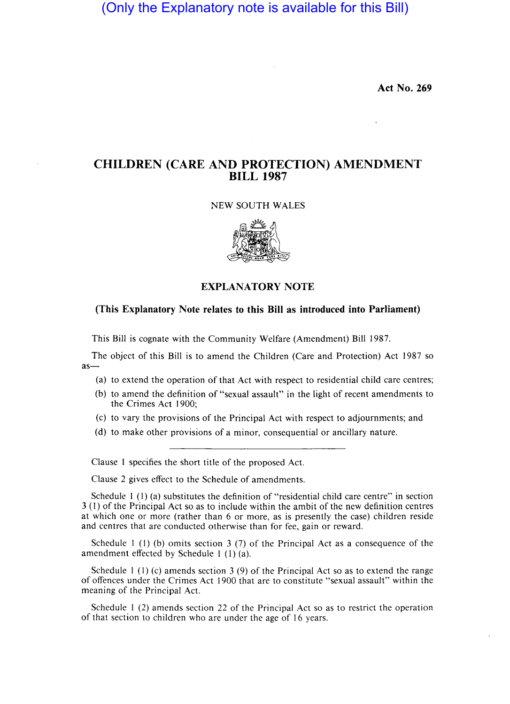# (Only the Explanatory note is available for this Bill)

**Act No. 269** 

# **CHILDREN (CARE AND PROTECTION) AMENDMENT BILL 1987**

#### NEW SOUTH WALES



### **EXPLANATORY NOTE**

#### **(This Explanatory Note relates to this Bill as introduced into Parliament)**

This Bill is cognate with the Community Welfare (Amendment) Bill 1987.

The object of this Bill is to amend the Children (Care and Protection) Act 1987 so as-

- (a) to extend the operation of that Act with respect to residential child care centres;
- (b) to amend the definition of "sexual assault" in the light of recent amendments to the Crimes Act 1900;
- (c) to vary the provisions of the Principal Act with respect to adjournments; and
- (d) to make other provisions of a minor, consequential or ancillary nature.

Clause 1 specifies the short title of the proposed Act.

Clause 2 gives effect to the Schedule of amendments.

Schedule 1 (I) (a) substitutes the definition of "residential child care centre" in section 3 (I) of the Principal Act so as to include within the ambit of the new definition centres at which one or more (rather than 6 or more, as is presently the case) children reside and centres that are conducted otherwise than for fee, gain or reward.

Schedule I (I) (b) omits section 3 (7) of the Principal Act as a consequence of the amendment effected by Schedule I (I) (a).

Schedule 1 (1) (c) amends section 3 (9) of the Principal Act so as to extend the range of offences under the Crimes Act 1900 that are to constitute "sexual assault" within the meaning of the Principal Act.

Schedule 1 (2) amends section 22 of the Principal Act so as to restrict the operation of that section to children who are under the age of 16 years.